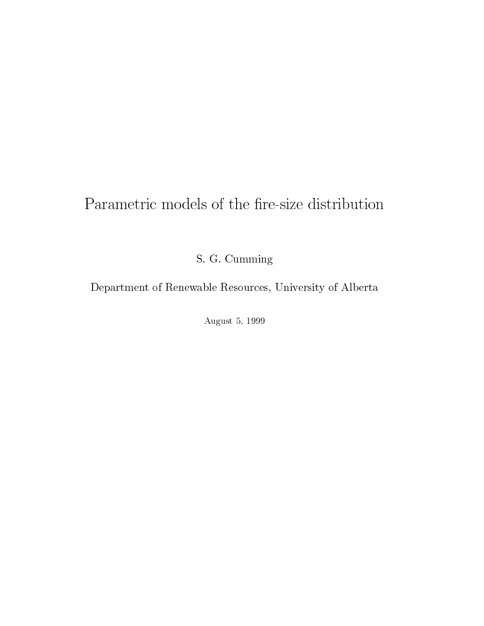# Parametric models of the fire-size distribution

S. G. Cumming

Department of Renewable Resources, University of Alberta

August 5, 1999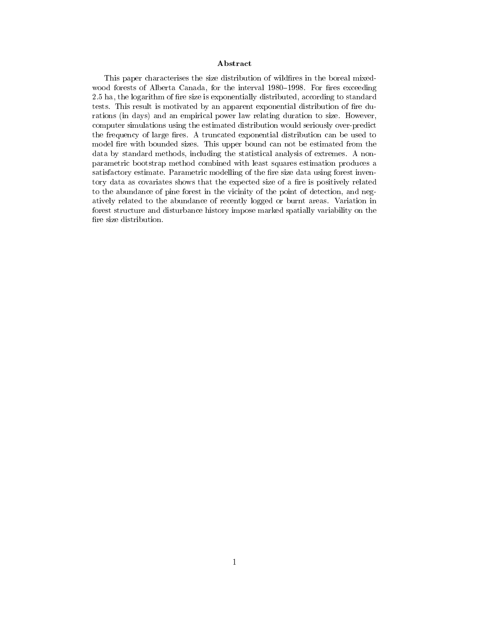### Abstract

This paper characterises the size distribution of wildfires in the boreal mixedwood forests of Alberta Canada, for the interval 1980–1998. For fires exceeding 2.5 ha, the logarithm of fire size is exponentially distributed, according to standard tests. This result is motivated by an apparent exponential distribution of fire durations (in days) and an empirical power law relating duration to size. However, computer simulations using the estimated distribution would seriously over-predict the frequency of large fires. A truncated exponential distribution can be used to model fire with bounded sizes. This upper bound can not be estimated from the data by standard methods, including the statistical analysis of extremes. A nonparametric bootstrap method combined with least squares estimation produces a satisfactory estimate. Parametric modelling of the fire size data using forest inventory data as covariates shows that the expected size of a fire is positively related to the abundance of pine forest in the vicinity of the point of detection, and negatively related to the abundance of recently logged or burnt areas. Variation in forest structure and disturbance history impose marked spatially variability on the fire size distribution.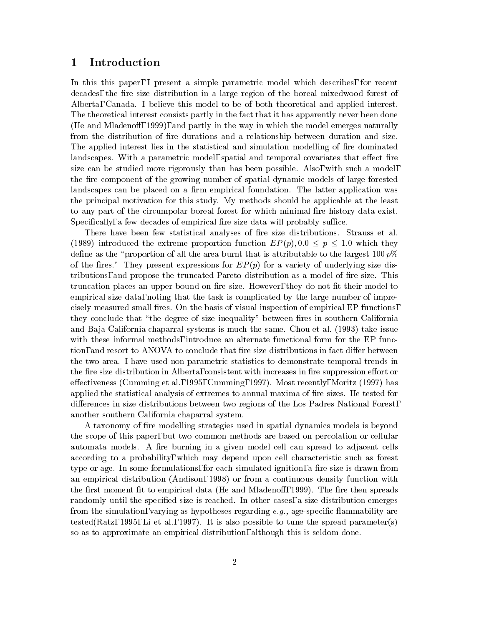### 1 Introduction

In this this paper, I present a simple parametric model which describes, for recent decades, the fire size distribution in a large region of the boreal mixedwood forest of Alberta, Canada. I believe this model to be of both theoretical and applied interest. The theoretical interest consists partly in the fact that it has apparently never been done (He and Mladenoff, 1999), and partly in the way in which the model emerges naturally from the distribution of fire durations and a relationship between duration and size. The applied interest lies in the statistical and simulation modelling of fire dominated landscapes. With a parametric model, spatial and temporal covariates that effect fire size can be studied more rigorously than has been possible. Also, with such a model, the fire component of the growing number of spatial dynamic models of large forested landscapes can be placed on a firm empirical foundation. The latter application was the principal motivation for this study. My methods should be applicable at the least to any part of the circumpolar boreal forest for which minimal fire history data exist. Specifically, a few decades of empirical fire size data will probably suffice.

There have been few statistical analyses of fire size distributions. Strauss et al. (1989) introduced the extreme proportion function  $EP(p)$ , 0.0  $\leq p \leq 1.0$  which they define as the "proportion of all the area burnt that is attributable to the largest  $100 p\%$ of the fires." They present expressions for  $EP(p)$  for a variety of underlying size distributions, and propose the truncated Pareto distribution as a model of fire size. This truncation places an upper bound on fire size. However, they do not fit their model to empirical size data, noting that the task is complicated by the large number of imprecisely measured small fires. On the basis of visual inspection of empirical EP functions, they conclude that "the degree of size inequality" between fires in southern California and Baja California chaparral systems is much the same. Chou et al. (1993) take issue with these informal methods, introduce an alternate functional form for the EP function, and resort to ANOVA to conclude that fire size distributions in fact differ between the two area. I have used non-parametric statistics to demonstrate temporal trends in the fire size distribution in Alberta, consistent with increases in fire suppression effort or effectiveness (Cumming et al., 1995, Cumming, 1997). Most recently, Moritz (1997) has applied the statistical analysis of extremes to annual maxima of fire sizes. He tested for differences in size distributions between two regions of the Los Padres National Forest, another southern California chaparral system.

A taxonomy of fire modelling strategies used in spatial dynamics models is beyond the scope of this paper, but two common methods are based on percolation or cellular automata models. A fire burning in a given model cell can spread to adjacent cells according to a probability, which may depend upon cell characteristic such as forest type or age. In some formulations, for each simulated ignition, a fire size is drawn from an empirical distribution (Andison, 1998) or from a continuous density function with the first moment fit to empirical data (He and Mladenoff, 1999). The fire then spreads randomly until the specified size is reached. In other cases, a size distribution emerges from the simulation, varying as hypotheses regarding  $e.g.,$  age-specific flammability are tested(Ratz, 1995, Li et al., 1997). It is also possible to tune the spread parameter(s) so as to approximate an empirical distribution, although this is seldom done.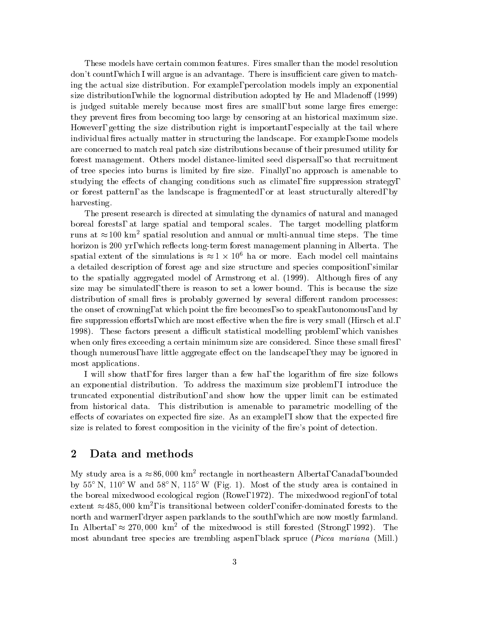These models have certain common features. Fires smaller than the model resolution don't count, which I will argue is an advantage. There is insufficient care given to matching the actual size distribution. For example, percolation models imply an exponential size distribution, while the lognormal distribution adopted by He and Mladenoff (1999) is judged suitable merely because most fires are small, but some large fires emerge: they prevent fires from becoming too large by censoring at an historical maximum size. However, getting the size distribution right is important, especially at the tail where individual fires actually matter in structuring the landscape. For example, some models are concerned to match real patch size distributions because of their presumed utility for forest management. Others model distance-limited seed dispersal, so that recruitment of tree species into burns is limited by fire size. Finally, no approach is amenable to studying the effects of changing conditions such as climate, fire suppression strategy, or forest pattern, as the landscape is fragmented, or at least structurally altered, by harvesting.

The present research is directed at simulating the dynamics of natural and managed boreal forests, at large spatial and temporal scales. The target modelling platform runs at  $\approx 100 \text{ km}^2$  spatial resolution and annual or multi-annual time steps. The time horizon is 200 yr, which reflects long-term forest management planning in Alberta. The spatial extent of the simulations is  $\approx$  1  $\times$  10° ha or more. Each model cell maintains a detailed description of forest age and size structure and species composition, similar to the spatially aggregated model of Armstrong et al. (1999). Although fires of any size may be simulated, there is reason to set a lower bound. This is because the size distribution of small fires is probably governed by several different random processes: the onset of crowning, at which point the fire becomes, so to speak, autonomous, and by fire suppression efforts, which are most effective when the fire is very small (Hirsch et al., 1998). These factors present a difficult statistical modelling problem, which vanishes when only fires exceeding a certain minimum size are considered. Since these small fires, though numerous, have little aggregate effect on the landscape, they may be ignored in most applications.

I will show that, for fires larger than a few ha, the logarithm of fire size follows an exponential distribution. To address the maximum size problem, I introduce the truncated exponential distribution, and show how the upper limit can be estimated from historical data. This distribution is amenable to parametric modelling of the effects of covariates on expected fire size. As an example, I show that the expected fire size is related to forest composition in the vicinity of the fire's point of detection.

### 2 Data and methods

My study area is a  $\approx 86,000 \text{ km}^2$  rectangle in northeastern Alberta, Canada, bounded by  $55^{\circ}$  N,  $110^{\circ}$  W and  $58^{\circ}$  N,  $115^{\circ}$  W (Fig. 1). Most of the study area is contained in the boreal mixedwood ecological region (Rowe, 1972). The mixedwood region, of total extent  $\approx$  485, 000 km~, is transitional between colder, conifer-dominated forests to the north and warmer, dryer aspen parklands to the south, which are now mostly farmland. In Alberta,  $\approx 270,000 \text{ km}^2$  of the mixedwood is still forested (Strong, 1992). The most abundant tree species are trembling aspen, black spruce (*Picea mariana* (Mill.)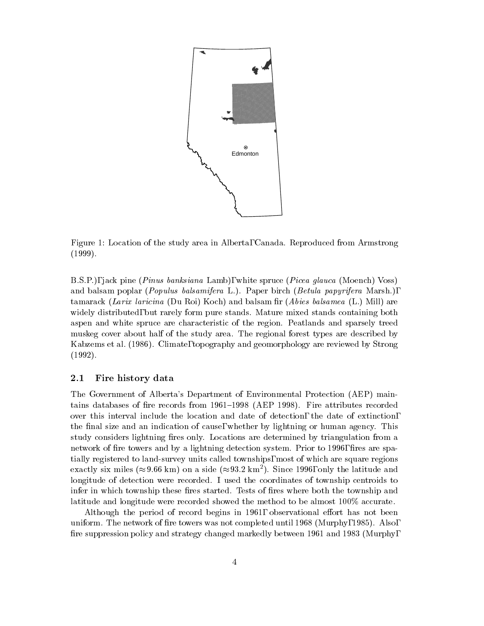

Figure 1: Location of the study area in Alberta, Canada. Reproduced from Armstrong (1999).

B.S.P.), jack pine (Pinus banksiana Lamb), white spruce (Picea glauca (Moench) Voss) and balsam poplar (*Populus balsamifera* L.). Paper birch (*Betula papyrifera* Marsh.), tamarack (Larix laricina (Du Roi) Koch) and balsam fir (Abies balsamea (L.) Mill) are widely distributed, but rarely form pure stands. Mature mixed stands containing both aspen and white spruce are characteristic of the region. Peatlands and sparsely treed muskeg cover about half of the study area. The regional forest types are described by Kabzems et al. (1986). Climate, topography and geomorphology are reviewed by Strong (1992).

#### 2.1Fire history data

The Government of Alberta's Department of Environmental Protection (AEP) maintains databases of fire records from 1961-1998 (AEP 1998). Fire attributes recorded over this interval include the location and date of detection, the date of extinction, the final size and an indication of cause, whether by lightning or human agency. This study considers lightning fires only. Locations are determined by triangulation from a network of fire towers and by a lightning detection system. Prior to 1996, fires are spatially registered to land-survey units called townships, most of which are square regions exactly six miles ( $\approx$ 9.66 km) on a side ( $\approx$ 93.2 km²). Since 1996, only the latitude and longitude of detection were recorded. I used the coordinates of township centroids to infer in which township these fires started. Tests of fires where both the township and latitude and longitude were recorded showed the method to be almost 100% accurate.

Although the period of record begins in  $1961$ , observational effort has not been uniform. The network of fire towers was not completed until  $1968$  (Murphy, 1985). Also, fire suppression policy and strategy changed markedly between 1961 and 1983 (Murphy,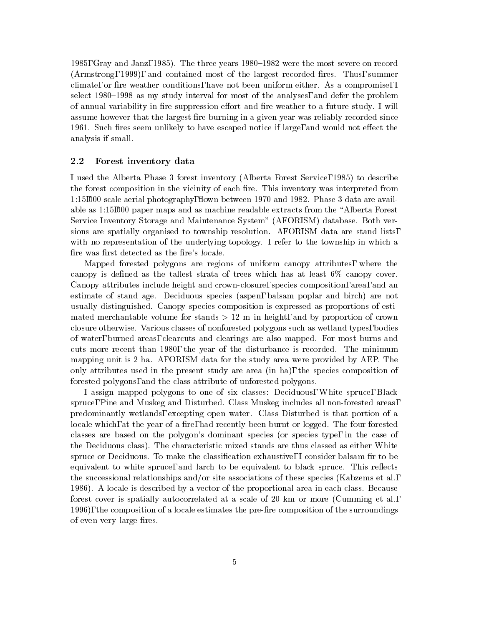1985, Gray and Janz, 1985). The three years 1980–1982 were the most severe on record (Armstrong, 1999), and contained most of the largest recorded fires. Thus, summer climate, or fire weather conditions, have not been uniform either. As a compromise, I select 1980–1998 as my study interval for most of the analyses, and defer the problem of annual variability in fire suppression effort and fire weather to a future study. I will assume however that the largest fire burning in a given year was reliably recorded since 1961. Such fires seem unlikely to have escaped notice if large, and would not effect the analysis if small.

#### 2.2Forest inventory data

I used the Alberta Phase 3 forest inventory (Alberta Forest Service, 1985) to describe the forest composition in the vicinity of each fire. This inventory was interpreted from 1:15,000 scale aerial photography, flown between 1970 and 1982. Phase 3 data are available as 1:15,000 paper maps and as machine readable extracts from the \Alberta Forest Service Inventory Storage and Maintenance System" (AFORISM) database. Both versions are spatially organised to township resolution. AFORISM data are stand lists, with no representation of the underlying topology. I refer to the township in which a fire was first detected as the fire's *locale*.

Mapped forested polygons are regions of uniform canopy attributes, where the canopy is defined as the tallest strata of trees which has at least  $6\%$  canopy cover. Canopy attributes include height and crown-closure, species composition, area, and an estimate of stand age.Deciduous species (aspen, balsam poplar and birch) are not usually distinguished. Canopy species composition is expressed as proportions of estimated merchantable volume for stands  $> 12$  m in height, and by proportion of crown closure otherwise. Various classes of nonforested polygons such as wetland types, bodies of water, burned areas, clearcuts and clearings are also mapped. For most burns and cuts more recent than 1980, the year of the disturbance is recorded. The minimum mapping unit is 2 ha. AFORISM data for the study area were provided by AEP. The only attributes used in the present study are area (in ha), the species composition of forested polygons, and the class attribute of unforested polygons.

I assign mapped polygons to one of six classes: Deciduous, White spruce, Black spruce, Pine and Muskeg and Disturbed. Class Muskeg includes all non-forested areas, predominantly wetlands, excepting open water. Class Disturbed is that portion of a locale which, at the year of a fire, had recently been burnt or logged. The four forested classes are based on the polygon's dominant species (or species type, in the case of the Deciduous class). The characteristic mixed stands are thus classed as either White spruce or Deciduous. To make the classification exhaustive, I consider balsam fir to be equivalent to white spruce, and larch to be equivalent to black spruce. This reflects the successional relationships and/or site associations of these species (Kabzems et al., 1986). A locale is described by a vector of the proportional area in each class. Because forest cover is spatially autocorrelated ata scale of 20 km or more (Cumming et al., 1996), the composition of a locale estimates the pre-fire composition of the surroundings of even very large fires.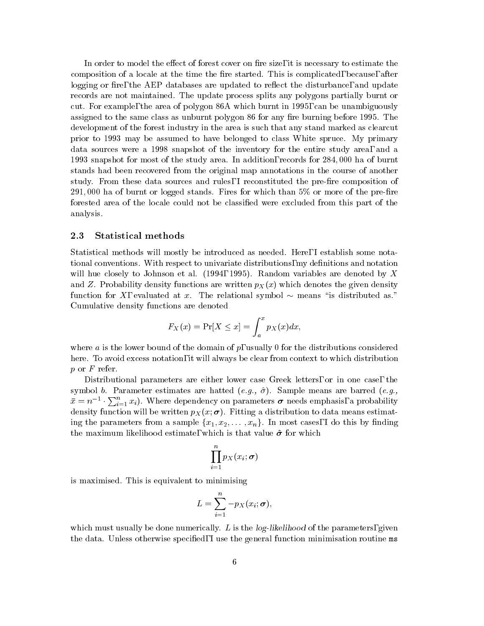In order to model the effect of forest cover on fire size, it is necessary to estimate the composition of a locale at the time the fire started. This is complicated, because, after logging or fire, the AEP databases are updated to reflect the disturbance, and update records are not maintained. The update process splits any polygons partially burnt or cut. For example, the area of polygon 86A which burnt in 1995, can be unambiguously assigned to the same class as unburnt polygon 86 for any fire burning before 1995. The development of the forest industry in the area is such that any stand marked as clearcut prior to 1993 may be assumed to have belonged to class White spruce. My primary data sources were a 1998 snapshot of the inventory for the entire study area, and a 1993 snapshot for most of the study area. In addition, records for 284; 000 ha of burnt stands had been recovered from the original map annotations in the course of another study. From these data sources and rules, I reconstituted the pre-fire composition of 291,000 ha of burnt or logged stands. Fires for which than  $5\%$  or more of the pre-fire forested area of the locale could not be classied were excluded from this part of the analysis.

#### 2.3Statistical methods

Statistical methods will mostly be introduced as needed. Here, I establish some notational conventions. With respect to univariate distributions, my denitions and notation will hue closely to Johnson et al.  $(1994, 1995)$ . Random variables are denoted by X and Z. Probability density functions are written  $p_X(x)$  which denotes the given density function for X, evaluated at x. The relational symbol  $\sim$  means "is distributed as." Cumulative density functions are denoted

$$
F_X(x) = \Pr[X \le x] = \int_a^x p_X(x) dx,
$$

where a is the lower bound of the domain of  $p$ , usually 0 for the distributions considered here. To avoid excess notation, it will always be clear from context to which distribution  $p$  or  $F$  refer.

Distributional parameters are either lower case Greek letters, or in one case, the symbol b. Parameter estimates are hatted  $(e.g., \hat{\sigma})$ . Sample means are barred  $(e.g.,$  $\bar{x} = n^{-1} \cdot \sum_{i=1}^{n} x_i$ ). Where dependency on parameters  $\sigma$  needs emphasis, a probability density function will be written particles p $\chi$  (x; ). Fitting a distribution to data measurements  $\chi$ ing the parameters from a sample  $\{x_1, x_2, \ldots, x_n\}$ . In most cases, I do this by finding the maximum likelihood estimate, which is that value  $\hat{\sigma}$  for which

$$
\prod_{i=1}^n p_X(x_i;\boldsymbol{\sigma})
$$

is maximised. This is equivalent to minimising

$$
L=\sum_{i=1}^n-p_X(x_i;\bm{\sigma}),
$$

which must usually be done numerically. L is the  $log-likelihood$  of the parameters, given the data. Unless otherwise specified, I use the general function minimisation routine ms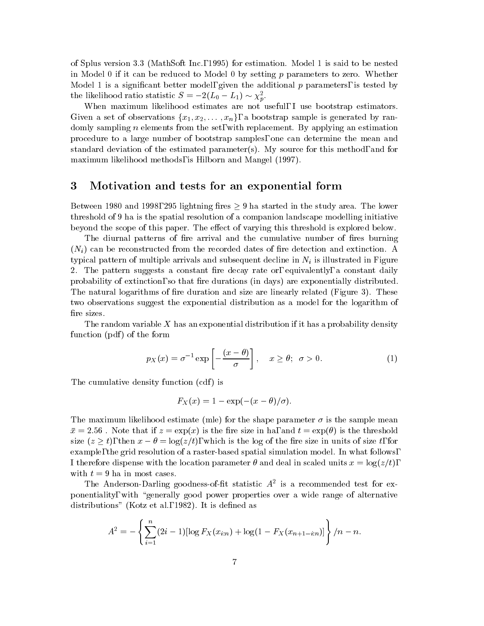of Splus version 3.3 (MathSoft Inc., 1995) for estimation. Model 1 is said to be nested in Model 0 if it can be reduced to Model 0 by setting p parameters to zero. Whether Model 1 is a significant better model, given the additional  $p$  parameters, is tested by the likelihood ratio statistic  $S = -2(L_0 - L_1) \sim \chi_p$ .

When maximum likelihood estimates are not useful, I use bootstrap estimators. Given a set of observations  $\{x_1, x_2, \ldots, x_n\}$ , a bootstrap sample is generated by randomly sampling n elements from the set, with replacement. By applying an estimation procedure to a large number of bootstrap samples, one can determine the mean and standard deviation of the estimated parameter(s). My source for this method, and for maximum likelihood methods, is Hilborn and Mangel (1997).

## 3 Motivation and tests for an exponential form

Between 1980 and 1998, 295 lightning fires  $\geq 9$  ha started in the study area. The lower threshold of 9 ha is the spatial resolution of a companion landscape modelling initiative beyond the scope of this paper. The effect of varying this threshold is explored below.

The diurnal patterns of fire arrival and the cumulative number of fires burning  $(N_i)$  can be reconstructed from the recorded dates of fire detection and extinction. A typical pattern of multiple arrivals and subsequent decline in Ni is illustrated in Figure 2. The pattern suggests a constant fire decay rate or, equivalently, a constant daily probability of extinction, so that fire durations (in days) are exponentially distributed. The natural logarithms of fire duration and size are linearly related (Figure 3). These two observations suggest the exponential distribution as a model for the logarithm of fire sizes.

The random variable  $X$  has an exponential distribution if it has a probability density function  $(pdf)$  of the form

$$
p_X(x) = \sigma^{-1} \exp\left[-\frac{(x-\theta)}{\sigma}\right], \quad x \ge \theta; \quad \sigma > 0. \tag{1}
$$

The cumulative density function (cdf) is

$$
F_X(x) = 1 - \exp(-(x - \theta)/\sigma).
$$

The maximum likelihood estimate (mle) for the shape parameter  $\sigma$  is the sample mean  $\bar{x} = 2.56$ . Note that if  $z = \exp(x)$  is the fire size in ha, and  $t = \exp(\theta)$  is the threshold size  $(z \geq t)$ , then  $x - \theta = \log(z/t)$ , which is the log of the fire size in units of size t, for example, the grid resolution of a raster-based spatial simulation model. In what follows, I therefore dispense with the location parameter  $\theta$  and deal in scaled units  $x = \log(z/t)$ , with  $t = 9$  ha in most cases.

The Anderson-Darling goodness-of-itt statistic A<sup>-</sup> is a recommended test for exponentiality, with "generally good power properties over a wide range of alternative distributions" (Kotz et al., 1982). It is defined as

$$
A^{2} = -\left\{\sum_{i=1}^{n} (2i-1)[\log F_{X}(x_{i:n}) + \log(1 - F_{X}(x_{n+1-i:n}))\right\}/n - n.
$$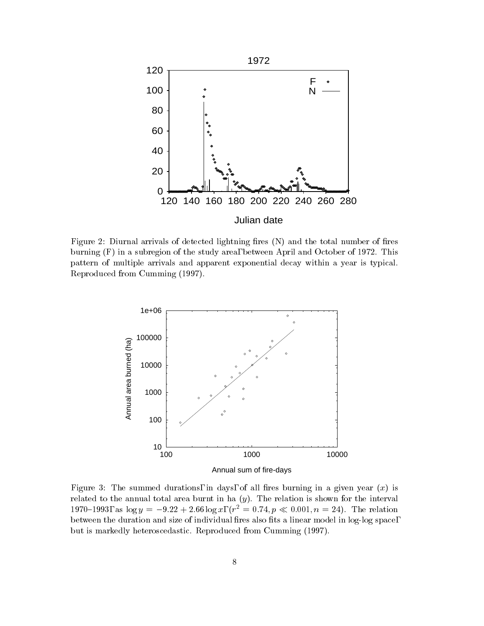

Figure 2: Diurnal arrivals of detected lightning fires  $(N)$  and the total number of fires burning (F) in a subregion of the study area, between April and October of 1972. This pattern of multiple arrivals and apparent exponential decay within a year is typical. Reproduced from Cumming (1997).



Figure 3: The summed durations, in days, of all fires burning in a given year  $(x)$  is related to the annual total area burnt in ha  $(y)$ . The relation is shown for the interval 1970–1993, as  $\log y = -9.22 + 2.66 \log x$ ,  $(r^2 = 0.74, p \ll 0.001, n = 24)$ . The relation between the duration and size of individual fires also fits a linear model in log-log space, but is markedly heteroscedastic. Reproduced from Cumming (1997).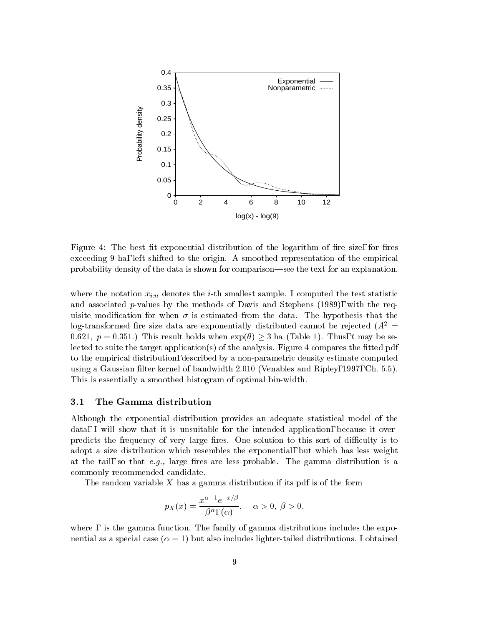

Figure 4: The best fit exponential distribution of the logarithm of fire size, for fires exceeding 9 ha, left shifted to the origin. A smoothed representation of the empirical probability density of the data is shown for comparison—see the text for an explanation.

where the notation  $x_{i:n}$  denotes the *i*-th smallest sample. I computed the test statistic and associated p-values by the methods of Davis and Stephens (1989), with the requisite modification for when  $\sigma$  is estimated from the data. The hypothesis that the log-transformed fire size data are exponentially distributed cannot be rejected  $(A^2 =$ 0.621,  $p = 0.351$ .) This result holds when  $\exp(\theta) \geq 3$  ha (Table 1). Thus, t may be selected to suite the target application(s) of the analysis. Figure 4 compares the fitted pdf to the empirical distribution, described by a non-parametric density estimate computed using a Gaussian filter kernel of bandwidth 2.010 (Venables and Ripley, 1997, Ch. 5.5). This is essentially a smoothed histogram of optimal bin-width.

#### 3.1The Gamma distribution

Although the exponential distribution provides an adequate statistical model of the data, I will show that it is unsuitable for the intended application, because it overpredicts the frequency of very large fires. One solution to this sort of difficulty is to adopt a size distribution which resembles the exponential, but which has less weight at the tail, so that  $e.g.,$  large fires are less probable. The gamma distribution is a commonly recommended candidate.

The random variable  $X$  has a gamma distribution if its pdf is of the form

$$
p_X(x) = \frac{x^{\alpha - 1}e^{-x/\beta}}{\beta^{\alpha}, \ (\alpha)}, \quad \alpha > 0, \ \beta > 0,
$$

where, is the gamma function. The family of gamma distributions includes the exponential as a special case  $(\alpha = 1)$  but also includes lighter-tailed distributions. I obtained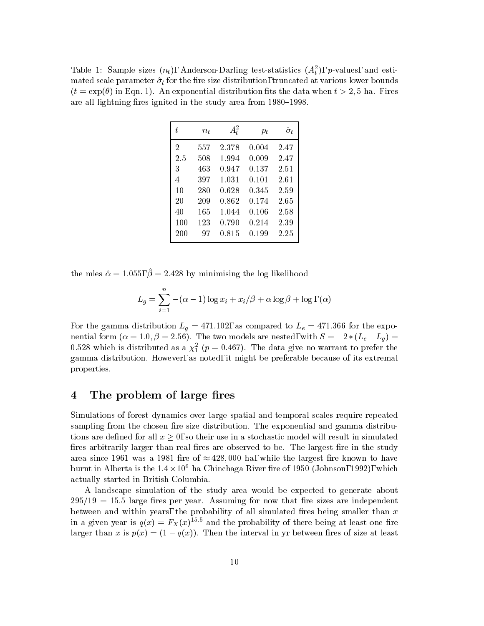Table 1: Sample sizes  $(n_t)$ , Anderson-Darling test-statistics  $(A_t)$ , p-values, and estimated scale parameter  $\mu$  for the size distribution, truncated at various lower bounds lower bounds lower bounds lower bounds lower bounds lower bounds lower bounds of the size distribution, the size of the size of the s  $(t = \exp(\theta))$  in Eqn. 1). An exponential distribution fits the data when  $t > 2, 5$  ha. Fires are all lightning fires ignited in the study area from 1980–1998.

| t              | $n_{t}$ | $A_t^2$ | $p_t$ | $\hat{\sigma}_t$ |
|----------------|---------|---------|-------|------------------|
| $\overline{2}$ | 557     | 2.378   | 0.004 | 2.47             |
| 2.5            | 508     | 1.994   | 0.009 | 2.47             |
| 3              | 463     | 0.947   | 0.137 | 2.51             |
| 4              | 397     | 1.031   | 0.101 | 2.61             |
| 10             | 280     | 0.628   | 0.345 | 2.59             |
| 20             | 209     | 0.862   | 0.174 | 2.65             |
| 40             | 165     | 1.044   | 0.106 | 2.58             |
| 100            | 123     | 0.790   | 0.214 | 2.39             |
| 200            | 97      | 0.815   | 0.199 | 2.25             |

the mles  $\hat{\alpha} = 1.055$ ,  $\hat{\beta} = 2.428$  by minimising the log likelihood

$$
L_g = \sum_{i=1}^{n} -(\alpha - 1) \log x_i + x_i/\beta + \alpha \log \beta + \log n, (\alpha)
$$

For the gamma distribution Lg = 471:102, as compared to Le = 471:366 for the exponential form ( $\alpha = 1.0, \beta = 2.56$ ). The two models are nested, with  $S = -2*(L_e - L_g) =$ 0.528 which is distributed as a  $\chi_1^-(p=$  0.467). The data give no warrant to prefer the gamma distribution. However, as noted, it might be preferable because of its extremal properties.

### 4 The problem of large fires

Simulations of forest dynamics over large spatial and temporal scales require repeated sampling from the chosen fire size distribution. The exponential and gamma distributions are defined for all  $x \geq 0$ , so their use in a stochastic model will result in simulated fires arbitrarily larger than real fires are observed to be. The largest fire in the study area since 1961 was a 1981 fire of  $\approx 428,000$  ha, while the largest fire known to have burnt in Alberta is the 1.4  $\times$  10° ha Chinchaga River fire of 1950 (Johnson, 1992), which actually started in British Columbia.

A landscape simulation of the study area would be expected to generate about  $295/19 = 15.5$  large fires per year. Assuming for now that fire sizes are independent between and within years, the probability of all simulated fires being smaller than  $x$ in a given year is  $q(x) = F_X(x)$  and the probability of there being at least one fire larger than x is  $p(x) = (1 - q(x))$ . Then the interval in yr between fires of size at least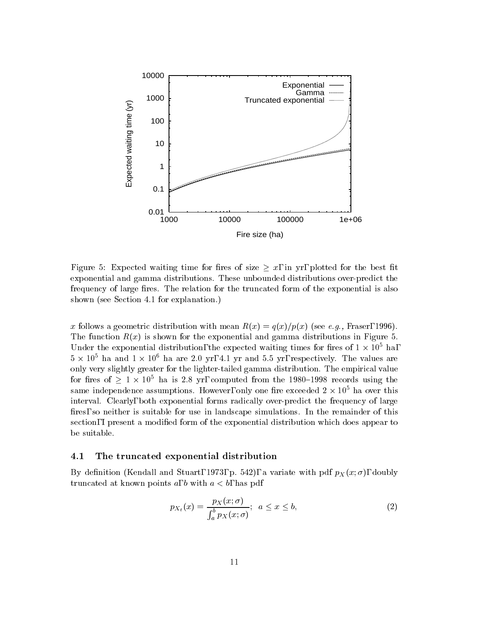

Figure 5: Expected waiting time for fires of size  $\geq x$ , in yr, plotted for the best fit exponential and gamma distributions. These unbounded distributions over-predict the frequency of large fires. The relation for the truncated form of the exponential is also shown (see Section 4.1 for explanation.)

x follows a geometric distribution with mean  $R(x) = q(x)/p(x)$  (see e.g., Fraser, 1996). The function  $R(x)$  is shown for the exponential and gamma distributions in Figure 5. Under the exponential distribution, the expected waiting times for fires of  $1 \times 10^{\circ}$  ha,  $5 \times 10^{\circ}$  ha and  $1 \times 10^{\circ}$  ha are 2.0 yr, 4.1 yr and 5.5 yr, respectively. The values are only very slightly greater for the lighter-tailed gamma distribution. The empirical value for fires of  $\geq 1 \times 10^5$  ha is 2.8 yr, computed from the 1980–1998 records using the same independence assumptions. However, only one fire exceeded  $2\times 10^{\circ}$  ha over this interval. Clearly, both exponential forms radically over-predict the frequency of large fires, so neither is suitable for use in landscape simulations. In the remainder of this section, I present a modied form of the exponential distribution which does appear to be suitable.

#### 4.1The truncated exponential distribution

By definition (Kendall and Stuart, 1973, p. 542), a variate with pdf  $p_X(x; \sigma)$ , doubly truncated at known points a, b with  $a < b$ , has pdf

$$
p_{X_t}(x) = \frac{p_X(x;\sigma)}{\int_a^b p_X(x;\sigma)}; \ \ a \le x \le b,
$$
 (2)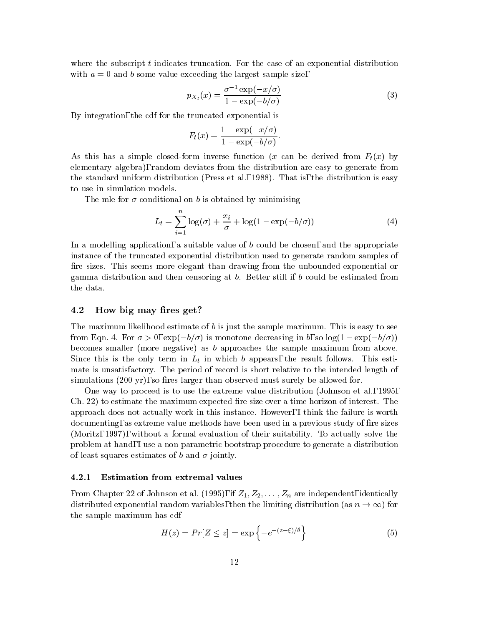where the subscript  $t$  indicates truncation. For the case of an exponential distribution with  $a = 0$  and b some value exceeding the largest sample size,

$$
p_{X_t}(x) = \frac{\sigma^{-1} \exp(-x/\sigma)}{1 - \exp(-b/\sigma)}
$$
(3)

By integration, the cdf for the truncated exponential is

$$
F_t(x) = \frac{1 - \exp(-x/\sigma)}{1 - \exp(-b/\sigma)}.
$$

As this has a simple closed-form inverse function (x can be derived from  $F_t(x)$  by elementary algebra), random deviates from the distribution are easy to generate from the standard uniform distribution (Press et al., 1988). That is, the distribution is easy to use in simulation models.

The mle for  $\sigma$  conditional on b is obtained by minimising

$$
L_t = \sum_{i=1}^{n} \log(\sigma) + \frac{x_i}{\sigma} + \log(1 - \exp(-b/\sigma))
$$
 (4)

In a modelling application, a suitable value of b could be chosen, and the appropriate instance of the truncated exponential distribution used to generate random samples of fire sizes. This seems more elegant than drawing from the unbounded exponential or gamma distribution and then censoring at b. Better still if b could be estimated from the data.

#### 4.2How big may fires get?

The maximum likelihood estimate of b is just the sample maximum. This is easy to see from Eqn. 4. For  $\sigma > 0$ ,  $\exp(-b/\sigma)$  is monotone decreasing in b, so  $\log(1 - \exp(-b/\sigma))$ becomes smaller (more negative) as b approaches the sample maximum from above. Since this is the only term in Lt in  $\mathbb{R}^n$  in the result follows. This estimate for  $\mathbb{R}^n$ mate is unsatisfactory. The period of record is short relative to the intended length of simulations  $(200 \text{ yr})$ , so fires larger than observed must surely be allowed for.

One way to proceed is to use the extreme value distribution (Johnson et al., 1995,  $Ch. 22$ ) to estimate the maximum expected fire size over a time horizon of interest. The approach does not actually work in this instance. However, I think the failure is worth documenting, as extreme value methods have been used in a previous study of fire sizes (Moritz, 1997), without a formal evaluation of their suitability. To actually solve the problem at hand, I use a non-parametric bootstrap procedure to generate a distribution of least squares estimates of b and  $\sigma$  jointly.

#### 4.2.1 Estimation from extremal values

From Chapter 22 of Johnson et al. (1995), if  $Z_1, Z_2, \ldots, Z_n$  are independent, identically distributed exponential random variables, then the limiting distribution (as  $n \to \infty$ ) for the sample maximum has cdf

$$
H(z) = Pr[Z \le z] = \exp\left\{-e^{-(z-\xi)/\theta}\right\}
$$
\n(5)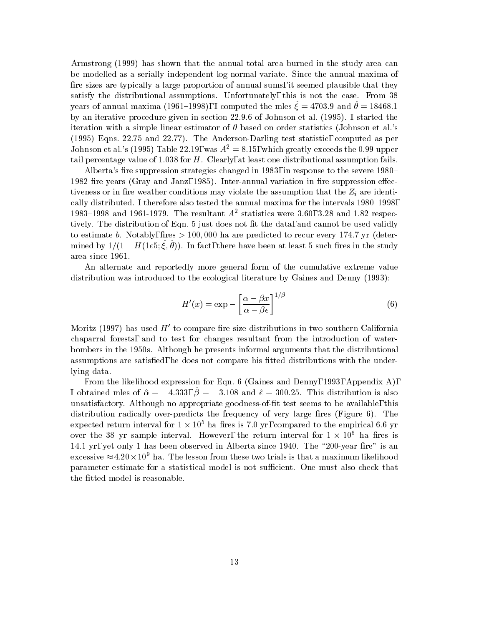Armstrong (1999) has shown that the annual total area burned in the study area can be modelled as a serially independent log-normal variate. Since the annual maxima of fire sizes are typically a large proportion of annual sums, it seemed plausible that they satisfy the distributional assumptions. Unfortunately, this is not the case. From 38 years of annual maxima (1901–1990), I computed the mics  $\zeta = 4109.9$  and  $\theta = 10400.1$ by an iterative procedure given in section 22.9.6 of Johnson et al. (1995). I started the iteration with a simple linear estimator of  $\theta$  based on order statistics (Johnson et al.'s (1995) Eqns. 22.75 and 22.77). The Anderson-Darling test statistic, computed as per Johnson et al.'s (1995) Table 22.19, was  $A^2 = 8.15$ , which greatly exceeds the 0.99 upper tail percentage value of 1.038 for  $H$ . Clearly, at least one distributional assumption fails.

Alberta's fire suppression strategies changed in 1983, in response to the severe 1980– 1982 fire years (Gray and Janz, 1985). Inter-annual variation in fire suppression effectiveness or in the assumption or in the assumption that the assumption that the assumption that the  $\mathbb{R}$ cally distributed. I therefore also tested the annual maxima for the intervals 1980-1998, 1983–1998 and 1961-1979. The resultant  $A^2$  statistics were 3.60, 3.28 and 1.82 respectively. The distribution of Eqn. 5 just does not fit the data, and cannot be used validly to estimate b. Notably, fires  $> 100,000$  ha are predicted to recur every 174.7 yr (deter- $\min$ ed by  $1/(1 - H(1e\partial, \zeta, \theta)).$  In fact, there have been at least 5 such fires in the study area since 1961.

An alternate and reportedly more general form of the cumulative extreme value distribution was introduced to the ecological literature by Gaines and Denny (1993):

$$
H'(x) = \exp - \left[\frac{\alpha - \beta x}{\alpha - \beta \epsilon}\right]^{1/\beta} \tag{6}
$$

Moritz (1997) has used  $H'$  to compare fire size distributions in two southern California chaparral forests, and to test for changes resultant from the introduction of waterbombers in the 1950s. Although he presents informal arguments that the distributional assumptions are satisfied, he does not compare his fitted distributions with the underlying data.

From the likelihood expression for Eqn. 6 (Gaines and Denny, 1993, Appendix A), I obtained mles of  $\hat{\alpha} = -4.333$ ,  $\beta = -3.108$  and  $\hat{\epsilon} = 300.25$ . This distribution is also unsatisfactory. Although no appropriate goodness-of-t test seems to be available, this distribution radically over-predicts the frequency of very large fires (Figure  $6$ ). The expected return interval for  $1 \times 10^{\circ}$  ha fires is 7.0 yr, compared to the empirical 6.6 yr over the 38 yr sample interval. However, the return interval for 1  $\times$  10° ha fires is 14.1 yr, yet only 1 has been observed in Alberta since 1940. The "200-year fire" is an excessive  $\approx$  4.20  $\times$  10 $^{\circ}$  ha. The lesson from these two trials is that a maximum likelihood parameter estimate for a statistical model is not sufficient. One must also check that the fitted model is reasonable.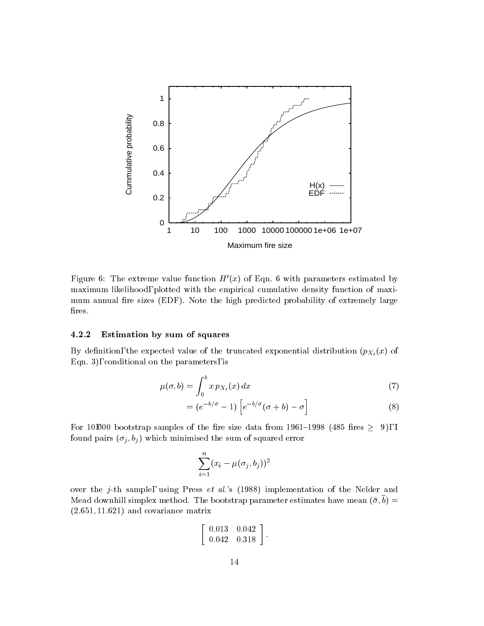

Figure 6: The extreme value function  $H'(x)$  of Eqn. 6 with parameters estimated by maximum likelihood, plotted with the empirical cumulative density function of maximum annual fire sizes (EDF). Note the high predicted probability of extremely large fires.

### 4.2.2 Estimation by sum of squares

By definition, the expected value of the truncated exponential distribution  $(p_{X_t}(x))$  of Eqn. 3), conditional on the parameters, is

$$
\mu(\sigma, b) = \int_0^b x \, p_{X_t}(x) \, dx \tag{7}
$$

$$
= (e^{-b/\sigma} - 1) \left[ e^{-b/\sigma} (\sigma + b) - \sigma \right]
$$
 (8)

For 10,000 bootstrap samples of the fire size data from 1961–1998 (485 fires  $\geq$  9), I found pairs (j ; bj ) which minimised the sum of squared error

$$
\sum_{i=1}^n (x_i-\mu(\sigma_j,b_j))^2
$$

over the j-th sample, using Press et al.'s (1988) implementation of the Nelder and  $m$ ead downhill simplex method. The bootstrap parameter estimates have mean  $(\sigma, \sigma) =$  $(2.651, 11.621)$  and covariance matrix

$$
\left[\begin{array}{cc}0.013 & 0.042\\0.042 & 0.318\end{array}\right].
$$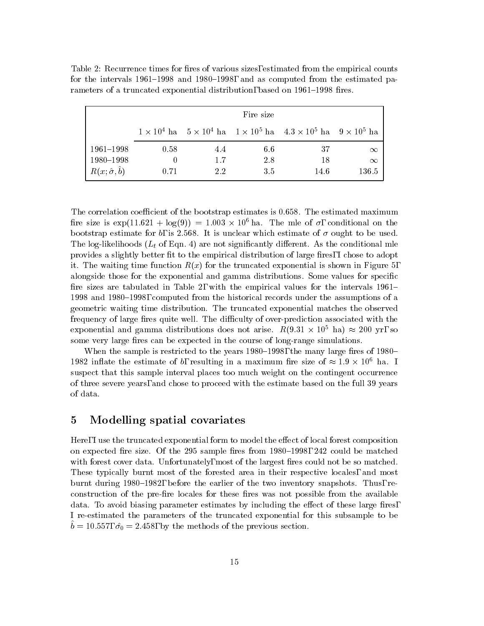|                               | Fire size |     |     |                                                                                                  |          |  |  |  |
|-------------------------------|-----------|-----|-----|--------------------------------------------------------------------------------------------------|----------|--|--|--|
|                               |           |     |     | $1 \times 10^4$ ha $5 \times 10^4$ ha $1 \times 10^5$ ha $4.3 \times 10^5$ ha $9 \times 10^5$ ha |          |  |  |  |
| 1961-1998                     | 0.58      | 4.4 | 6.6 | 37                                                                                               | $\infty$ |  |  |  |
| 1980-1998                     |           | 1.7 | 2.8 | 18                                                                                               | $\infty$ |  |  |  |
| $R(x; \hat{\sigma}, \hat{b})$ | 0.71      | 2.2 | 3.5 | 14.6                                                                                             | 136.5    |  |  |  |

Table 2: Recurrence times for fires of various sizes, estimated from the empirical counts for the intervals  $1961-1998$  and  $1980-1998$ , and as computed from the estimated parameters of a truncated exponential distribution, based on 1961–1998 fires.

The correlation coefficient of the bootstrap estimates is  $0.658$ . The estimated maximum fire size is  $\exp(11.621 + \log(9)) = 1.003 \times 10^{\circ}$  ha. The mile of  $\sigma$ , conditional on the bootstrap estimate for b, is 2.568. It is unclear which estimate of  $\sigma$  ought to be used. The log-likelihoods (Lt of Eqn. 4) are not signicantly dierent. As the conditional mle provides a slightly better fit to the empirical distribution of large fires, I chose to adopt it. The waiting time function  $R(x)$  for the truncated exponential is shown in Figure 5, alongside those for the exponential and gamma distributions. Some values for specific fire sizes are tabulated in Table 2, with the empirical values for the intervals  $1961-$ 1998 and 1980–1998, computed from the historical records under the assumptions of a geometric waiting time distribution. The truncated exponential matches the observed frequency of large fires quite well. The difficulty of over-prediction associated with the exponential and gamma distributions does not arise.  $R(9.31 \times 10^{\circ}$  ha)  $\approx$  200 yr, so some very large fires can be expected in the course of long-range simulations.

When the sample is restricted to the years 1980–1998, the many large fires of 1980– 1982 inflate the estimate of b. resulting in a maximum fire size of  $\approx$  1.9  $\times$  10° ha. The size suspect that this sample interval places too much weight on the contingent occurrence of three severe years, and chose to proceed with the estimate based on the full 39 years of data.

### 5 Modelling spatial covariates

Here, I use the truncated exponential form to model the effect of local forest composition on expected fire size. Of the  $295$  sample fires from  $1980-1998$ ,  $242$  could be matched with forest cover data. Unfortunately, most of the largest fires could not be so matched. These typically burnt most of the forested area in their respective locales, and most burnt during 1980–1982, before the earlier of the two inventory snapshots. Thus, reconstruction of the pre-fire locales for these fires was not possible from the available data. To avoid biasing parameter estimates by including the effect of these large fires, I re-estimated the parameters of the truncated exponential for this subsample to be  $\sigma = 10.557$ ,  $\sigma_0 = 2.458$ , by the methods of the previous section.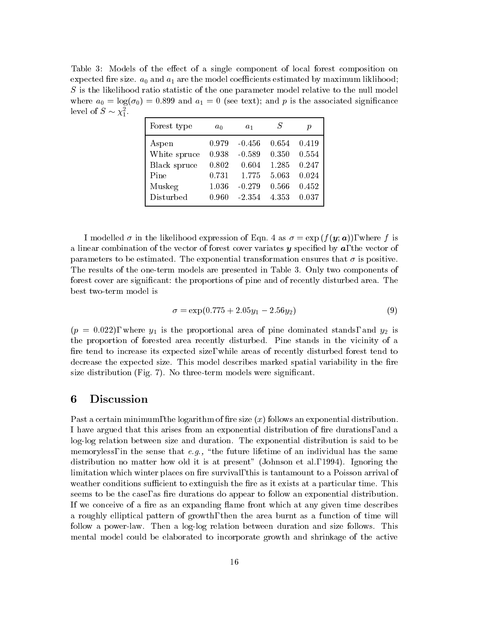Table 3: Models of the effect of a single component of local forest composition on expected fire size.  $a_0$  and  $a_1$  are the model coefficients estimated by maximum liklihood;  $S$  is the likelihood ratio statistic of the one parameter model relative to the null model where  $a_0 = \log(\sigma_0) = 0.899$  and  $a_1 = 0$  (see text); and p is the associated significance level of  $S \sim \chi_1^-.$ 

| Forest type  | $a_0$ | $a_1$    | S     | р     |
|--------------|-------|----------|-------|-------|
| Aspen        | 0.979 | $-0.456$ | 0.654 | 0.419 |
| White spruce | 0.938 | $-0.589$ | 0.350 | 0.554 |
| Black spruce | 0.802 | 0.604    | 1.285 | 0.247 |
| Pine         | 0.731 | 1.775    | 5.063 | 0.024 |
| Muskeg       | 1.036 | $-0.279$ | 0.566 | 0.452 |
| Disturbed    | 0.960 | $-2.354$ | 4.353 | 0.037 |
|              |       |          |       |       |

I modelled  $\sigma$  in the likelihood expression of Eqn. 4 as  $\sigma = \exp(f(\mathbf{y}; \mathbf{a}))$ , where f is a linear combination of the vector of forest cover variates  $y$  specified by  $a$ , the vector of parameters to be estimated. The exponential transformation ensures that  $\sigma$  is positive. The results of the one-term models are presented in Table 3. Only two components of forest cover are signicant: the proportions of pine and of recently disturbed area. The best two-term model is

$$
\sigma = \exp(0.775 + 2.05y_1 - 2.56y_2) \tag{9}
$$

 $(p = 0.022)$ , where  $y_1$  is the proportional area of pine dominated stands, and  $y_2$  is the proportion of forested area recently disturbed. Pine stands in the vicinity of a fire tend to increase its expected size, while areas of recently disturbed forest tend to decrease the expected size. This model describes marked spatial variability in the fire size distribution (Fig. 7). No three-term models were significant.

### 6 Discussion

Past a certain minimum, the logarithm of fire size  $(x)$  follows an exponential distribution. I have argued that this arises from an exponential distribution of fire durations, and a log-log relation between size and duration. The exponential distribution is said to be memoryless, in the sense that  $e.g.,$  "the future lifetime of an individual has the same distribution no matter how old it is at present" (Johnson et al., 1994). Ignoring the limitation which winter places on fire survival, this is tantamount to a Poisson arrival of weather conditions sufficient to extinguish the fire as it exists at a particular time. This seems to be the case, as fire durations do appear to follow an exponential distribution. If we conceive of a fire as an expanding flame front which at any given time describes a roughly elliptical pattern of growth, then the area burnt as a function of time will follow a power-law. Then a log-log relation between duration and size follows. This mental model could be elaborated to incorporate growth and shrinkage of the active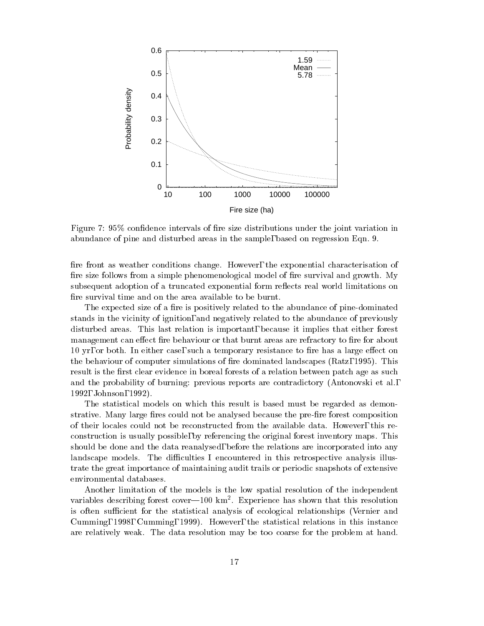

Figure 7: 95% confidence intervals of fire size distributions under the joint variation in abundance of pine and disturbed areas in the sample, based on regression Eqn. 9.

fire front as weather conditions change. However, the exponential characterisation of fire size follows from a simple phenomenological model of fire survival and growth. My subsequent adoption of a truncated exponential form reflects real world limitations on fire survival time and on the area available to be burnt.

The expected size of a fire is positively related to the abundance of pine-dominated stands in the vicinity of ignition, and negatively related to the abundance of previously disturbed areas. This last relation is important, because it implies that either forest management can effect fire behaviour or that burnt areas are refractory to fire for about 10 yr, or both. In either case, such a temporary resistance to fire has a large effect on the behaviour of computer simulations of fire dominated landscapes (Ratz, 1995). This result is the first clear evidence in boreal forests of a relation between patch age as such and the probability of burning: previous reports are contradictory (Antonovski et al., 1992, Johnson, 1992).

The statistical models on which this result is based must be regarded as demonstrative. Many large fires could not be analysed because the pre-fire forest composition of their locales could not be reconstructed from the available data. However, this reconstruction is usually possible, by referencing the original forest inventory maps. This should be done and the data reanalysed, before the relations are incorporated into any landscape models. The difficulties I encountered in this retrospective analysis illustrate the great importance of maintaining audit trails or periodic snapshots of extensive environmental databases.

Another limitation of the models is the low spatial resolution of the independent variables describing forest cover—fou kin . Experience has shown that this resolution is often sufficient for the statistical analysis of ecological relationships (Vernier and Cumming, 1998, Cumming, 1999). However, the statistical relations in this instance are relatively weak. The data resolution may be too coarse for the problem at hand.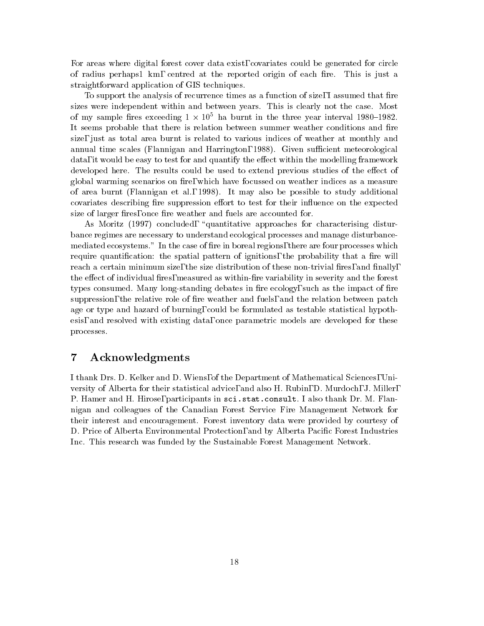For areas where digital forest cover data exist, covariates could be generated for circle of radius perhaps1 km, centred at the reported origin of each fire. This is just a straightforward application of GIS techniques.

To support the analysis of recurrence times as a function of size, I assumed that fire sizes were independent within and between years. This is clearly not the case. Most of my sample fires exceeding  $1\times10^{\circ}$  ha burnt in the three year interval 1980–1982. It seems probable that there is relation between summer weather conditions and fire size, just as total area burnt is related to various indices of weather at monthly and annual time scales (Flannigan and Harrington, 1988). Given sufficient meteorological data, it would be easy to test for and quantify the effect within the modelling framework developed here. The results could be used to extend previous studies of the effect of global warming scenarios on fire, which have focussed on weather indices as a measure of area burnt (Flannigan etal., 1998). It may also be possible to study additional covariates describing fire suppression effort to test for their influence on the expected size of larger fires, once fire weather and fuels are accounted for.

As Moritz (1997) concluded, "quantitative approaches for characterising disturbance regimes are necessary to understand ecological processes and manage disturbancemediated ecosystems." In the case of fire in boreal regions, there are four processes which require quantification: the spatial pattern of ignitions, the probability that a fire will reach a certain minimum size, the size distribution of these non-trivial fires, and finally, the effect of individual fires, measured as within-fire variability in severity and the forest types consumed. Many long-standing debates in fire ecology, such as the impact of fire suppression, the relative role of fire weather and fuels, and the relation between patch age or type and hazard of burning, could be formulated as testable statistical hypothesis, and resolved with existing data, once parametric models are developed for these processes.

#### $\overline{7}$ Acknowledgments

I thank Drs. D. Kelker and D. Wiens, of the Department of Mathematical Sciences, University of Alberta for their statistical advice, and also H. Rubin, D. Murdoch, J. Miller, P. Hamer and H. Hirose, participants in sci.stat.consult. I also thank Dr. M. Flannigan and colleagues of the Canadian Forest Service Fire Management Network for their interest and encouragement. Forest inventory data were provided by courtesy of D. Price of Alberta Environmental Protection, and by Alberta Pacific Forest Industries Inc. This research was funded by the Sustainable Forest Management Network.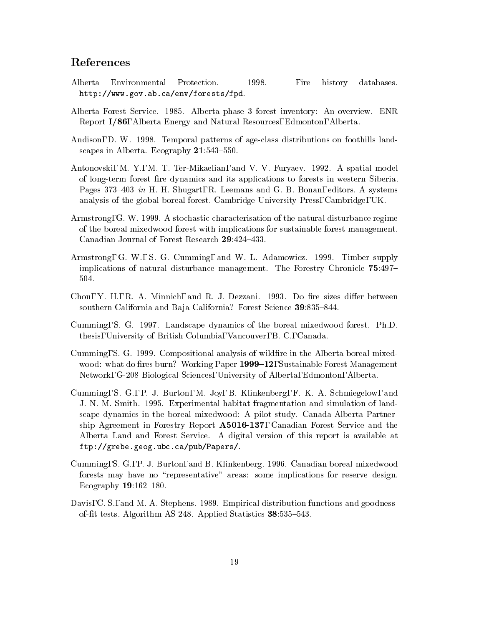# References

- Alberta Environmental Protection. 1998. Fire history databases. http://www.gov.ab.ca/env/forests/fpd.
- Alberta Forest Service. 1985. Alberta phase 3 forest inventory: An overview. ENR Report I/86, Alberta Energy and Natural Resources, Edmonton, Alberta.
- Andison, D. W. 1998. Temporal patterns of age-class distributions on foothills landscapes in Alberta. Ecography  $21:543-550$ .
- Antonovski, M. Y., M. T. Ter-Mikaelian, and V. V. Furyaev. 1992. A spatial model of long-term forest fire dynamics and its applications to forests in western Siberia. Pages 373–403 in H. H. Shugart, R. Leemans and G. B. Bonan, editors. A systems analysis of the global boreal forest. Cambridge University Press, Cambridge, UK.
- Armstrong, G. W. 1999. A stochastic characterisation of the natural disturbance regime of the boreal mixedwood forest with implications for sustainable forest management. Canadian Journal of Forest Research 29:424-433.
- Armstrong, G. W., S. G. Cumming, and W. L. Adamowicz. 1999. Timber supply implications of natural disturbance management. The Forestry Chronicle 75:497– 504.
- Chou, Y. H., R. A. Minnich, and R. J. Dezzani. 1993. Do fire sizes differ between southern California and Baja California? Forest Science 39:835-844.
- Cumming, S. G. 1997. Landscape dynamics of the boreal mixedwood forest. Ph.D. thesis, University of British Columbia, Vancouver, B. C., Canada.
- Cumming, S. G. 1999. Compositional analysis of wildre in the Alberta boreal mixedwood: what do fires burn? Working Paper 1999–12, Sustainable Forest Management Network, G-208 Biological Sciences, University of Alberta, Edmonton, Alberta.
- Cumming, S. G., P. J. Burton, M. Joy, B. Klinkenberg, F. K. A. Schmiegelow, and J. N. M. Smith. 1995. Experimental habitat fragmentation and simulation of landscape dynamics in the boreal mixedwood: A pilot study. Canada-Alberta Partnership Agreement in Forestry Report A5016-137, Canadian Forest Service and the Alberta Land and Forest Service. A digital version of this report is available at ftp://grebe.geog.ubc.ca/pub/Papers/.
- Cumming, S. G., P. J. Burton, and B. Klinkenberg. 1996. Canadian boreal mixedwood forests may have no "representative" areas: some implications for reserve design. Ecography  $19:162-180$ .
- Davis, C. S., and M. A. Stephens. 1989. Empirical distribution functions and goodnessof-fit tests. Algorithm AS 248. Applied Statistics 38:535-543.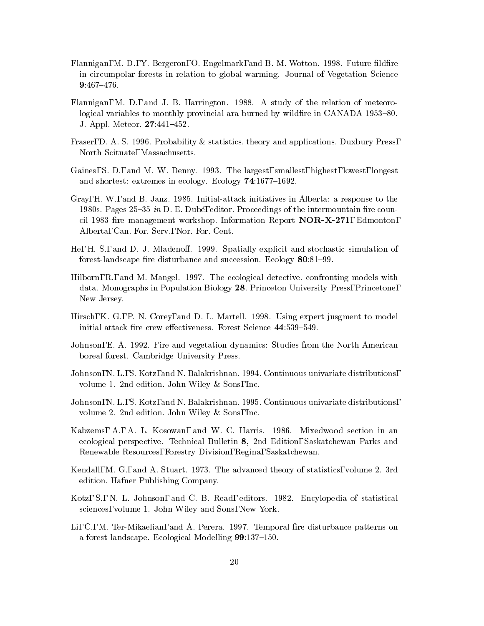- Flannigan, M. D., Y. Bergeron, O. Engelmark, and B. M. Wotton. 1998. Future fildfire in circumpolar forests in relation to global warming. Journal of Vegetation Science 9:467-476.
- Flannigan, M. D., and J. B. Harrington. 1988. A study of the relation of meteorological variables to monthly provincial ara burned by wildfire in CANADA 1953–80. J. Appl. Meteor. **27:**441-452.
- Fraser, D. A. S. 1996. Probability & statistics. theory and applications. Duxbury Press, North Scituate, Massachusetts.
- Gaines, S. D., and M. W. Denny. 1993. The largest, smallest, highest, lowest, longest and shortest: extremes in ecology. Ecology  $74:1677-1692$ .
- Gray, H. W., and B. Janz. 1985. Initial-attack initiatives in Alberta: a response to the 1980s. Pages  $25-35$  in D. E. Dubé, editor. Proceedings of the intermountain fire council 1983 fire management workshop. Information Report **NOR-X-271**, Edmonton, Alberta, Can. For. Serv., Nor. For. Cent.
- He, H. S., and D. J. Mladenoff. 1999. Spatially explicit and stochastic simulation of forest-landscape fire disturbance and succession. Ecology  $80:81-99$ .
- Hilborn, R., and M. Mangel. 1997. The ecological detective. confronting models with data. Monographs in Population Biology 28. Princeton University Press, Princetone, New Jersey.
- Hirsch, K. G., P. N. Corey, and D. L. Martell. 1998. Using expert jusgment to model initial attack fire crew effectiveness. Forest Science 44:539-549.
- Johnson, E. A. 1992. Fire and vegetation dynamics: Studies from the North American boreal forest. Cambridge University Press.
- Johnson, N. L., S. Kotz, and N. Balakrishnan. 1994. Continuous univariate distributions, volume 1. 2nd edition. John Wiley & Sons, Inc.
- Johnson, N. L., S. Kotz, and N. Balakrishnan. 1995. Continuous univariate distributions, volume 2. 2nd edition. John Wiley & Sons, Inc.
- Kabzems, A., A. L. Kosowan, and W. C. Harris. 1986. Mixedwood section in an ecological perspective. Technical Bulletin 8, 2nd Edition, Saskatchewan Parks and Renewable Resources, Forestry Division, Regina, Saskatchewan.
- Kendall, M. G., and A. Stuart. 1973. The advanced theory of statistics, volume 2. 3rd edition. Hafner Publishing Company.
- Kotz, S., N. L. Johnson, and C. B. Read, editors. 1982. Encylopedia of statistical sciences, volume 1. John Wiley and Sons, New York.
- Li, C., M. Ter-Mikaelian, and A. Perera. 1997. Temporal fire disturbance patterns on a forest landscape. Ecological Modelling  $99:137-150$ .